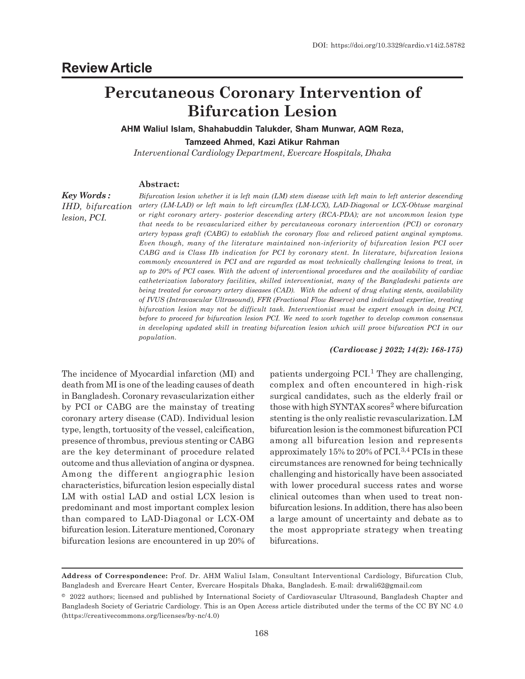# **Percutaneous Coronary Intervention of Bifurcation Lesion**

**AHM Waliul Islam, Shahabuddin Talukder, Sham Munwar, AQM Reza, Tamzeed Ahmed, Kazi Atikur Rahman**

*Interventional Cardiology Department, Evercare Hospitals, Dhaka*

#### **Abstract:**

*Key Words : IHD, bifurcation lesion, PCI.*

*Bifurcation lesion whether it is left main (LM) stem disease with left main to left anterior descending artery (LM-LAD) or left main to left circumflex (LM-LCX), LAD-Diagonal or LCX-Obtuse marginal or right coronary artery- posterior descending artery (RCA-PDA); are not uncommon lesion type that needs to be revascularized either by percutaneous coronary intervention (PCI) or coronary artery bypass graft (CABG) to establish the coronary flow and relieved patient anginal symptoms. Even though, many of the literature maintained non-inferiority of bifurcation lesion PCI over CABG and is Class IIb indication for PCI by coronary stent. In literature, bifurcation lesions commonly encountered in PCI and are regarded as most technically challenging lesions to treat, in up to 20% of PCI cases. With the advent of interventional procedures and the availability of cardiac catheterization laboratory facilities, skilled interventionist, many of the Bangladeshi patients are being treated for coronary artery diseases (CAD). With the advent of drug eluting stents, availability of IVUS (Intravascular Ultrasound), FFR (Fractional Flow Reserve) and individual expertise, treating bifurcation lesion may not be difficult task. Interventionist must be expert enough in doing PCI, before to proceed for bifurcation lesion PCI. We need to work together to develop common consensus in developing updated skill in treating bifurcation lesion which will prove bifurcation PCI in our population.*

#### *(Cardiovasc j 2022; 14(2): 168-175)*

The incidence of Myocardial infarction (MI) and death from MI is one of the leading causes of death in Bangladesh. Coronary revascularization either by PCI or CABG are the mainstay of treating coronary artery disease (CAD). Individual lesion type, length, tortuosity of the vessel, calcification, presence of thrombus, previous stenting or CABG are the key determinant of procedure related outcome and thus alleviation of angina or dyspnea. Among the different angiographic lesion characteristics, bifurcation lesion especially distal LM with ostial LAD and ostial LCX lesion is predominant and most important complex lesion than compared to LAD-Diagonal or LCX-OM bifurcation lesion. Literature mentioned, Coronary bifurcation lesions are encountered in up 20% of

patients undergoing  $PCI$ .<sup>1</sup> They are challenging, complex and often encountered in high-risk surgical candidates, such as the elderly frail or those with high SYNTAX scores<sup>2</sup> where bifurcation stenting is the only realistic revascularization. LM bifurcation lesion is the commonest bifurcation PCI among all bifurcation lesion and represents approximately 15% to 20% of PCI.3,4 PCIs in these circumstances are renowned for being technically challenging and historically have been associated with lower procedural success rates and worse clinical outcomes than when used to treat nonbifurcation lesions. In addition, there has also been a large amount of uncertainty and debate as to the most appropriate strategy when treating bifurcations.

**Address of Correspondence:** Prof. Dr. AHM Waliul Islam, Consultant Interventional Cardiology, Bifurcation Club, Bangladesh and Evercare Heart Center, Evercare Hospitals Dhaka, Bangladesh. E-mail: drwali62@gmail.com

<sup>© 2022</sup> authors; licensed and published by International Society of Cardiovascular Ultrasound, Bangladesh Chapter and Bangladesh Society of Geriatric Cardiology. This is an Open Access article distributed under the terms of the CC BY NC 4.0 (https://creativecommons.org/licenses/by-nc/4.0)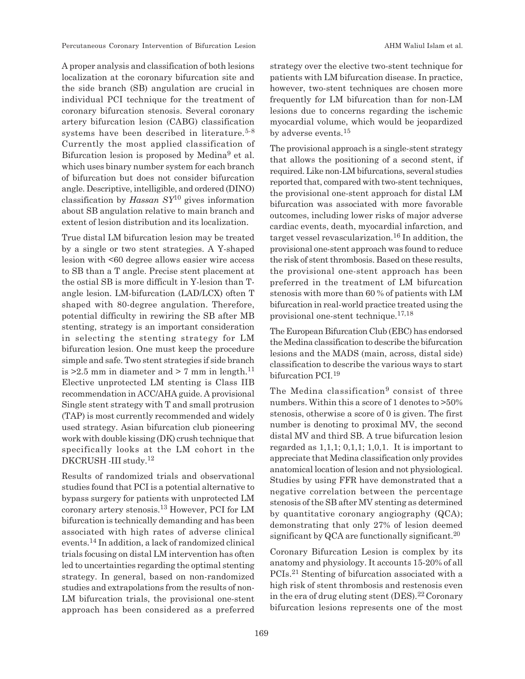Percutaneous Coronary Intervention of Bifurcation Lesion AHM Waliul Islam et al.

A proper analysis and classification of both lesions localization at the coronary bifurcation site and the side branch (SB) angulation are crucial in individual PCI technique for the treatment of coronary bifurcation stenosis. Several coronary artery bifurcation lesion (CABG) classification systems have been described in literature.<sup>5-8</sup> Currently the most applied classification of Bifurcation lesion is proposed by Medina<sup>9</sup> et al. which uses binary number system for each branch of bifurcation but does not consider bifurcation angle. Descriptive, intelligible, and ordered (DINO) classification by *Hassan SY*10 gives information about SB angulation relative to main branch and extent of lesion distribution and its localization.

True distal LM bifurcation lesion may be treated by a single or two stent strategies. A Y-shaped lesion with <60 degree allows easier wire access to SB than a T angle. Precise stent placement at the ostial SB is more difficult in Y-lesion than Tangle lesion. LM-bifurcation (LAD/LCX) often T shaped with 80-degree angulation. Therefore, potential difficulty in rewiring the SB after MB stenting, strategy is an important consideration in selecting the stenting strategy for LM bifurcation lesion. One must keep the procedure simple and safe. Two stent strategies if side branch is  $>2.5$  mm in diameter and  $>7$  mm in length.<sup>11</sup> Elective unprotected LM stenting is Class IIB recommendation in ACC/AHA guide. A provisional Single stent strategy with T and small protrusion (TAP) is most currently recommended and widely used strategy. Asian bifurcation club pioneering work with double kissing (DK) crush technique that specifically looks at the LM cohort in the DKCRUSH -III study.<sup>12</sup>

Results of randomized trials and observational studies found that PCI is a potential alternative to bypass surgery for patients with unprotected LM coronary artery stenosis.13 However, PCI for LM bifurcation is technically demanding and has been associated with high rates of adverse clinical events.14 In addition, a lack of randomized clinical trials focusing on distal LM intervention has often led to uncertainties regarding the optimal stenting strategy. In general, based on non-randomized studies and extrapolations from the results of non-LM bifurcation trials, the provisional one-stent approach has been considered as a preferred strategy over the elective two-stent technique for patients with LM bifurcation disease. In practice, however, two-stent techniques are chosen more frequently for LM bifurcation than for non-LM lesions due to concerns regarding the ischemic myocardial volume, which would be jeopardized by adverse events.<sup>15</sup>

The provisional approach is a single-stent strategy that allows the positioning of a second stent, if required. Like non-LM bifurcations, several studies reported that, compared with two-stent techniques, the provisional one-stent approach for distal LM bifurcation was associated with more favorable outcomes, including lower risks of major adverse cardiac events, death, myocardial infarction, and target vessel revascularization.16 In addition, the provisional one-stent approach was found to reduce the risk of stent thrombosis. Based on these results, the provisional one-stent approach has been preferred in the treatment of LM bifurcation stenosis with more than 60 % of patients with LM bifurcation in real-world practice treated using the provisional one-stent technique.17,18

The European Bifurcation Club (EBC) has endorsed the Medina classification to describe the bifurcation lesions and the MADS (main, across, distal side) classification to describe the various ways to start bifurcation PCI.<sup>19</sup>

The Medina classification<sup>9</sup> consist of three numbers. Within this a score of 1 denotes to >50% stenosis, otherwise a score of 0 is given. The first number is denoting to proximal MV, the second distal MV and third SB. A true bifurcation lesion regarded as  $1,1,1; 0,1,1; 1,0,1$ . It is important to appreciate that Medina classification only provides anatomical location of lesion and not physiological. Studies by using FFR have demonstrated that a negative correlation between the percentage stenosis of the SB after MV stenting as determined by quantitative coronary angiography (QCA); demonstrating that only 27% of lesion deemed significant by QCA are functionally significant.<sup>20</sup>

Coronary Bifurcation Lesion is complex by its anatomy and physiology. It accounts 15-20% of all PCIs.21 Stenting of bifurcation associated with a high risk of stent thrombosis and restenosis even in the era of drug eluting stent  $(DES).^{22}$  Coronary bifurcation lesions represents one of the most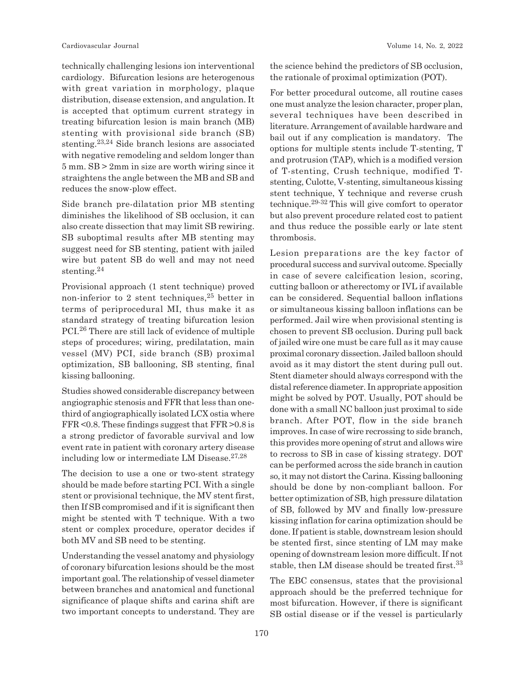technically challenging lesions ion interventional cardiology. Bifurcation lesions are heterogenous with great variation in morphology, plaque distribution, disease extension, and angulation. It is accepted that optimum current strategy in treating bifurcation lesion is main branch (MB) stenting with provisional side branch (SB) stenting.23,24 Side branch lesions are associated with negative remodeling and seldom longer than 5 mm. SB > 2mm in size are worth wiring since it straightens the angle between the MB and SB and reduces the snow-plow effect.

Side branch pre-dilatation prior MB stenting diminishes the likelihood of SB occlusion, it can also create dissection that may limit SB rewiring. SB suboptimal results after MB stenting may suggest need for SB stenting, patient with jailed wire but patent SB do well and may not need stenting.<sup>24</sup>

Provisional approach (1 stent technique) proved non-inferior to 2 stent techniques,25 better in terms of periprocedural MI, thus make it as standard strategy of treating bifurcation lesion PCI.26 There are still lack of evidence of multiple steps of procedures; wiring, predilatation, main vessel (MV) PCI, side branch (SB) proximal optimization, SB ballooning, SB stenting, final kissing ballooning.

Studies showed considerable discrepancy between angiographic stenosis and FFR that less than onethird of angiographically isolated LCX ostia where FFR <0.8. These findings suggest that FFR >0.8 is a strong predictor of favorable survival and low event rate in patient with coronary artery disease including low or intermediate LM Disease. $27,28$ 

The decision to use a one or two-stent strategy should be made before starting PCI. With a single stent or provisional technique, the MV stent first, then If SB compromised and if it is significant then might be stented with T technique. With a two stent or complex procedure, operator decides if both MV and SB need to be stenting.

Understanding the vessel anatomy and physiology of coronary bifurcation lesions should be the most important goal. The relationship of vessel diameter between branches and anatomical and functional significance of plaque shifts and carina shift are two important concepts to understand. They are the science behind the predictors of SB occlusion, the rationale of proximal optimization (POT).

For better procedural outcome, all routine cases one must analyze the lesion character, proper plan, several techniques have been described in literature. Arrangement of available hardware and bail out if any complication is mandatory. The options for multiple stents include T-stenting, T and protrusion (TAP), which is a modified version of T-stenting, Crush technique, modified Tstenting, Culotte, V-stenting, simultaneous kissing stent technique, Y technique and reverse crush technique.29-32 This will give comfort to operator but also prevent procedure related cost to patient and thus reduce the possible early or late stent thrombosis.

Lesion preparations are the key factor of procedural success and survival outcome. Specially in case of severe calcification lesion, scoring, cutting balloon or atherectomy or IVL if available can be considered. Sequential balloon inflations or simultaneous kissing balloon inflations can be performed. Jail wire when provisional stenting is chosen to prevent SB occlusion. During pull back of jailed wire one must be care full as it may cause proximal coronary dissection. Jailed balloon should avoid as it may distort the stent during pull out. Stent diameter should always correspond with the distal reference diameter. In appropriate apposition might be solved by POT. Usually, POT should be done with a small NC balloon just proximal to side branch. After POT, flow in the side branch improves. In case of wire recrossing to side branch, this provides more opening of strut and allows wire to recross to SB in case of kissing strategy. DOT can be performed across the side branch in caution so, it may not distort the Carina. Kissing ballooning should be done by non-compliant balloon. For better optimization of SB, high pressure dilatation of SB, followed by MV and finally low-pressure kissing inflation for carina optimization should be done. If patient is stable, downstream lesion should be stented first, since stenting of LM may make opening of downstream lesion more difficult. If not stable, then LM disease should be treated first.<sup>33</sup>

The EBC consensus, states that the provisional approach should be the preferred technique for most bifurcation. However, if there is significant SB ostial disease or if the vessel is particularly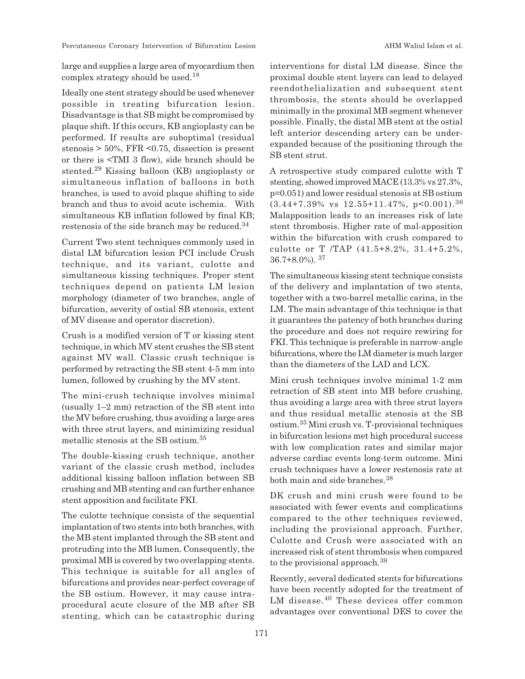Percutaneous Coronary Intervention of Bifurcation Lesion AHM Waliul Islam et al.

large and supplies a large area of myocardium then complex strategy should be used.<sup>18</sup>

Ideally one stent strategy should be used whenever possible in treating bifurcation lesion. Disadvantage is that SB might be compromised by plaque shift. If this occurs, KB angioplasty can be performed. If results are suboptimal (residual stenosis > 50%, FFR <0.75, dissection is present or there is <TMI 3 flow), side branch should be stented.29 Kissing balloon (KB) angioplasty or simultaneous inflation of balloons in both branches, is used to avoid plaque shifting to side branch and thus to avoid acute ischemia. With simultaneous KB inflation followed by final KB; restenosis of the side branch may be reduced.<sup>34</sup>

Current Two stent techniques commonly used in distal LM bifurcation lesion PCI include Crush technique, and its variant, culotte and simultaneous kissing techniques. Proper stent techniques depend on patients LM lesion morphology (diameter of two branches, angle of bifurcation, severity of ostial SB stenosis, extent of MV disease and operator discretion).

Crush is a modified version of T or kissing stent technique, in which MV stent crushes the SB stent against MV wall. Classic crush technique is performed by retracting the SB stent 4-5 mm into lumen, followed by crushing by the MV stent.

The mini-crush technique involves minimal (usually 1–2 mm) retraction of the SB stent into the MV before crushing, thus avoiding a large area with three strut layers, and minimizing residual metallic stenosis at the SB ostium.<sup>35</sup>

The double-kissing crush technique, another variant of the classic crush method, includes additional kissing balloon inflation between SB crushing and MB stenting and can further enhance stent apposition and facilitate FKI.

The culotte technique consists of the sequential implantation of two stents into both branches, with the MB stent implanted through the SB stent and protruding into the MB lumen. Consequently, the proximal MB is covered by two overlapping stents. This technique is suitable for all angles of bifurcations and provides near-perfect coverage of the SB ostium. However, it may cause intraprocedural acute closure of the MB after SB stenting, which can be catastrophic during interventions for distal LM disease. Since the proximal double stent layers can lead to delayed reendothelialization and subsequent stent thrombosis, the stents should be overlapped minimally in the proximal MB segment whenever possible. Finally, the distal MB stent at the ostial left anterior descending artery can be underexpanded because of the positioning through the SB stent strut.

A retrospective study compared culotte with T stenting, showed improved MACE (13.3% vs 27.3%, p=0.051) and lower residual stenosis at SB ostium  $(3.44+7.39\% \text{ vs } 12.55+11.47\%, \text{ p} < 0.001).$ <sup>36</sup> Malapposition leads to an increases risk of late stent thrombosis. Higher rate of mal-apposition within the bifurcation with crush compared to culotte or T /TAP (41.5+8.2%, 31.4+5.2%, 36.7+8.0%). <sup>37</sup>

The simultaneous kissing stent technique consists of the delivery and implantation of two stents, together with a two-barrel metallic carina, in the LM. The main advantage of this technique is that it guarantees the patency of both branches during the procedure and does not require rewiring for FKI. This technique is preferable in narrow-angle bifurcations, where the LM diameter is much larger than the diameters of the LAD and LCX.

Mini crush techniques involve minimal 1-2 mm retraction of SB stent into MB before crushing, thus avoiding a large area with three strut layers and thus residual metallic stenosis at the SB ostium.35 Mini crush vs. T-provisional techniques in bifurcation lesions met high procedural success with low complication rates and similar major adverse cardiac events long-term outcome. Mini crush techniques have a lower restenosis rate at both main and side branches.<sup>38</sup>

DK crush and mini crush were found to be associated with fewer events and complications compared to the other techniques reviewed, including the provisional approach. Further, Culotte and Crush were associated with an increased risk of stent thrombosis when compared to the provisional approach.<sup>39</sup>

Recently, several dedicated stents for bifurcations have been recently adopted for the treatment of LM disease.40 These devices offer common advantages over conventional DES to cover the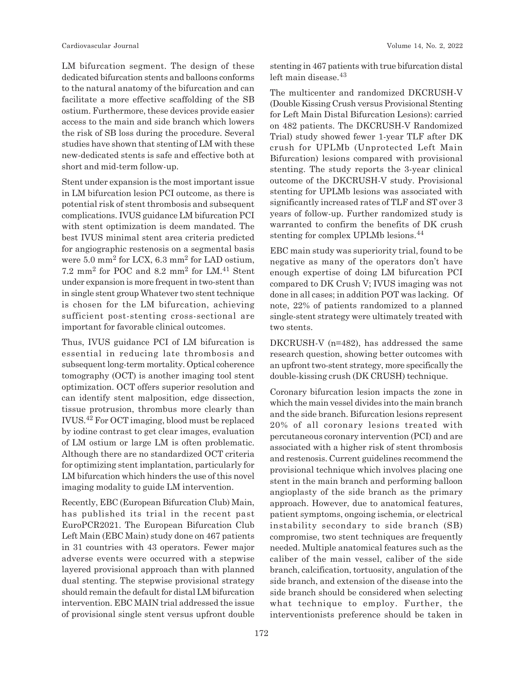LM bifurcation segment. The design of these dedicated bifurcation stents and balloons conforms to the natural anatomy of the bifurcation and can facilitate a more effective scaffolding of the SB ostium. Furthermore, these devices provide easier access to the main and side branch which lowers the risk of SB loss during the procedure. Several studies have shown that stenting of LM with these new-dedicated stents is safe and effective both at short and mid-term follow-up.

Stent under expansion is the most important issue in LM bifurcation lesion PCI outcome, as there is potential risk of stent thrombosis and subsequent complications. IVUS guidance LM bifurcation PCI with stent optimization is deem mandated. The best IVUS minimal stent area criteria predicted for angiographic restenosis on a segmental basis were  $5.0 \text{ mm}^2$  for LCX,  $6.3 \text{ mm}^2$  for LAD ostium, 7.2 mm<sup>2</sup> for POC and 8.2 mm<sup>2</sup> for LM.41 Stent under expansion is more frequent in two-stent than in single stent group Whatever two stent technique is chosen for the LM bifurcation, achieving sufficient post-stenting cross-sectional are important for favorable clinical outcomes.

Thus, IVUS guidance PCI of LM bifurcation is essential in reducing late thrombosis and subsequent long-term mortality. Optical coherence tomography (OCT) is another imaging tool stent optimization. OCT offers superior resolution and can identify stent malposition, edge dissection, tissue protrusion, thrombus more clearly than IVUS.42 For OCT imaging, blood must be replaced by iodine contrast to get clear images, evaluation of LM ostium or large LM is often problematic. Although there are no standardized OCT criteria for optimizing stent implantation, particularly for LM bifurcation which hinders the use of this novel imaging modality to guide LM intervention.

Recently, EBC (European Bifurcation Club) Main, has published its trial in the recent past EuroPCR2021. The European Bifurcation Club Left Main (EBC Main) study done on 467 patients in 31 countries with 43 operators. Fewer major adverse events were occurred with a stepwise layered provisional approach than with planned dual stenting. The stepwise provisional strategy should remain the default for distal LM bifurcation intervention. EBC MAIN trial addressed the issue of provisional single stent versus upfront double stenting in 467 patients with true bifurcation distal left main disease.<sup>43</sup>

The multicenter and randomized DKCRUSH-V (Double Kissing Crush versus Provisional Stenting for Left Main Distal Bifurcation Lesions): carried on 482 patients. The DKCRUSH-V Randomized Trial) study showed fewer 1-year TLF after DK crush for UPLMb (Unprotected Left Main Bifurcation) lesions compared with provisional stenting. The study reports the 3-year clinical outcome of the DKCRUSH-V study. Provisional stenting for UPLMb lesions was associated with significantly increased rates of TLF and ST over 3 years of follow-up. Further randomized study is warranted to confirm the benefits of DK crush stenting for complex UPLMb lesions.<sup>44</sup>

EBC main study was superiority trial, found to be negative as many of the operators don't have enough expertise of doing LM bifurcation PCI compared to DK Crush V; IVUS imaging was not done in all cases; in addition POT was lacking. Of note, 22% of patients randomized to a planned single-stent strategy were ultimately treated with two stents.

DKCRUSH-V (n=482), has addressed the same research question, showing better outcomes with an upfront two-stent strategy, more specifically the double-kissing crush (DK CRUSH) technique.

Coronary bifurcation lesion impacts the zone in which the main vessel divides into the main branch and the side branch. Bifurcation lesions represent 20% of all coronary lesions treated with percutaneous coronary intervention (PCI) and are associated with a higher risk of stent thrombosis and restenosis. Current guidelines recommend the provisional technique which involves placing one stent in the main branch and performing balloon angioplasty of the side branch as the primary approach. However, due to anatomical features, patient symptoms, ongoing ischemia, or electrical instability secondary to side branch (SB) compromise, two stent techniques are frequently needed. Multiple anatomical features such as the caliber of the main vessel, caliber of the side branch, calcification, tortuosity, angulation of the side branch, and extension of the disease into the side branch should be considered when selecting what technique to employ. Further, the interventionists preference should be taken in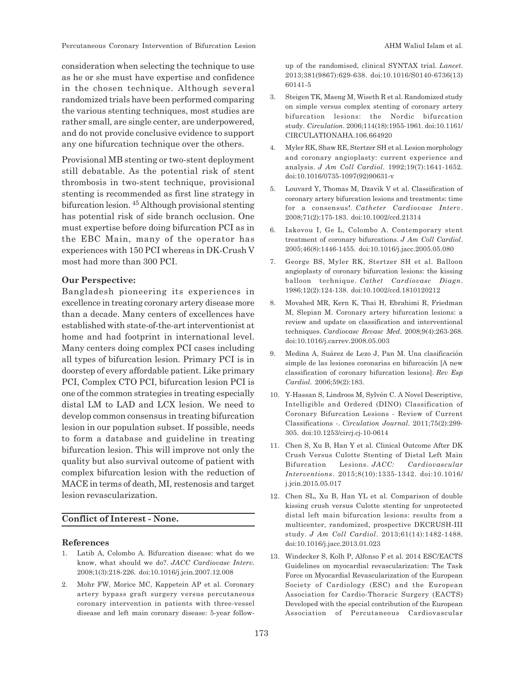consideration when selecting the technique to use as he or she must have expertise and confidence in the chosen technique. Although several randomized trials have been performed comparing the various stenting techniques, most studies are rather small, are single center, are underpowered, and do not provide conclusive evidence to support any one bifurcation technique over the others.

Provisional MB stenting or two-stent deployment still debatable. As the potential risk of stent thrombosis in two-stent technique, provisional stenting is recommended as first line strategy in bifurcation lesion. 45 Although provisional stenting has potential risk of side branch occlusion. One must expertise before doing bifurcation PCI as in the EBC Main, many of the operator has experiences with 150 PCI whereas in DK-Crush V most had more than 300 PCI.

### **Our Perspective:**

Bangladesh pioneering its experiences in excellence in treating coronary artery disease more than a decade. Many centers of excellences have established with state-of-the-art interventionist at home and had footprint in international level. Many centers doing complex PCI cases including all types of bifurcation lesion. Primary PCI is in doorstep of every affordable patient. Like primary PCI, Complex CTO PCI, bifurcation lesion PCI is one of the common strategies in treating especially distal LM to LAD and LCX lesion. We need to develop common consensus in treating bifurcation lesion in our population subset. If possible, needs to form a database and guideline in treating bifurcation lesion. This will improve not only the quality but also survival outcome of patient with complex bifurcation lesion with the reduction of MACE in terms of death, MI, restenosis and target lesion revascularization.

## **Conflict of Interest - None.**

#### **References**

- 1. Latib A, Colombo A. Bifurcation disease: what do we know, what should we do?. *JACC Cardiovasc Interv*. 2008;1(3):218-226. doi:10.1016/j.jcin.2007.12.008
- 2. Mohr FW, Morice MC, Kappetein AP et al. Coronary artery bypass graft surgery versus percutaneous coronary intervention in patients with three-vessel disease and left main coronary disease: 5-year follow-

up of the randomised, clinical SYNTAX trial. *Lancet*. 2013;381(9867):629-638. doi:10.1016/S0140-6736(13) 60141-5

- 3. Steigen TK, Maeng M, Wiseth R et al. Randomized study on simple versus complex stenting of coronary artery bifurcation lesions: the Nordic bifurcation study. *Circulation*. 2006;114(18):1955-1961. doi:10.1161/ CIRCULATIONAHA.106.664920
- 4. Myler RK, Shaw RE, Stertzer SH et al. Lesion morphology and coronary angioplasty: current experience and analysis. *J Am Coll Cardiol*. 1992;19(7):1641-1652. doi:10.1016/0735-1097(92)90631-v
- 5. Louvard Y, Thomas M, Dzavik V et al. Classification of coronary artery bifurcation lesions and treatments: time for a consensus!. *Catheter Cardiovasc Interv*. 2008;71(2):175-183. doi:10.1002/ccd.21314
- 6. Iakovou I, Ge L, Colombo A. Contemporary stent treatment of coronary bifurcations. *J Am Coll Cardiol*. 2005;46(8):1446-1455. doi:10.1016/j.jacc.2005.05.080
- 7. George BS, Myler RK, Stertzer SH et al. Balloon angioplasty of coronary bifurcation lesions: the kissing balloon technique. *Cathet Cardiovasc Diagn*. 1986;12(2):124-138. doi:10.1002/ccd.1810120212
- 8. Movahed MR, Kern K, Thai H, Ebrahimi R, Friedman M, Slepian M. Coronary artery bifurcation lesions: a review and update on classification and interventional techniques. *Cardiovasc Revasc Med*. 2008;9(4):263-268. doi:10.1016/j.carrev.2008.05.003
- 9. Medina A, Suárez de Lezo J, Pan M. Una clasificación simple de las lesiones coronarias en bifurcación [A new classification of coronary bifurcation lesions]. *Rev Esp Cardiol*. 2006;59(2):183.
- 10. Y-Hassan S, Lindroos M, Sylvén C. A Novel Descriptive, Intelligible and Ordered (DINO) Classification of Coronary Bifurcation Lesions - Review of Current Classifications -. *Circulation Journal*. 2011;75(2):299- 305. doi:10.1253/circj.cj-10-0614
- 11. Chen S, Xu B, Han Y et al. Clinical Outcome After DK Crush Versus Culotte Stenting of Distal Left Main Bifurcation Lesions. *JACC: Cardiovascular Interventions*. 2015;8(10):1335-1342. doi:10.1016/ j.jcin.2015.05.017
- 12. Chen SL, Xu B, Han YL et al. Comparison of double kissing crush versus Culotte stenting for unprotected distal left main bifurcation lesions: results from a multicenter, randomized, prospective DKCRUSH-III study. *J Am Coll Cardiol*. 2013;61(14):1482-1488. doi:10.1016/j.jacc.2013.01.023
- 13. Windecker S, Kolh P, Alfonso F et al. 2014 ESC/EACTS Guidelines on myocardial revascularization: The Task Force on Myocardial Revascularization of the European Society of Cardiology (ESC) and the European Association for Cardio-Thoracic Surgery (EACTS) Developed with the special contribution of the European Association of Percutaneous Cardiovascular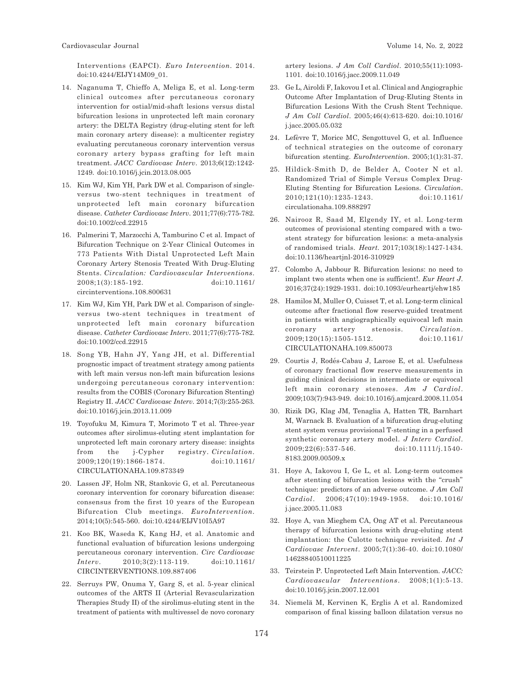Interventions (EAPCI). *Euro Intervention*. 2014. doi:10.4244/EIJY14M09\_01.

- 14. Naganuma T, Chieffo A, Meliga E, et al. Long-term clinical outcomes after percutaneous coronary intervention for ostial/mid-shaft lesions versus distal bifurcation lesions in unprotected left main coronary artery: the DELTA Registry (drug-eluting stent for left main coronary artery disease): a multicenter registry evaluating percutaneous coronary intervention versus coronary artery bypass grafting for left main treatment. *JACC Cardiovasc Interv*. 2013;6(12):1242- 1249. doi:10.1016/j.jcin.2013.08.005
- 15. Kim WJ, Kim YH, Park DW et al. Comparison of singleversus two-stent techniques in treatment of unprotected left main coronary bifurcation disease. *Catheter Cardiovasc Interv*. 2011;77(6):775-782. doi:10.1002/ccd.22915
- 16. Palmerini T, Marzocchi A, Tamburino C et al. Impact of Bifurcation Technique on 2-Year Clinical Outcomes in 773 Patients With Distal Unprotected Left Main Coronary Artery Stenosis Treated With Drug-Eluting Stents. *Circulation: Cardiovascular Interventions*. 2008;1(3):185-192. doi:10.1161/ circinterventions.108.800631
- 17. Kim WJ, Kim YH, Park DW et al. Comparison of singleversus two-stent techniques in treatment of unprotected left main coronary bifurcation disease. *Catheter Cardiovasc Interv*. 2011;77(6):775-782. doi:10.1002/ccd.22915
- 18. Song YB, Hahn JY, Yang JH, et al. Differential prognostic impact of treatment strategy among patients with left main versus non-left main bifurcation lesions undergoing percutaneous coronary intervention: results from the COBIS (Coronary Bifurcation Stenting) Registry II. *JACC Cardiovasc Interv*. 2014;7(3):255-263. doi:10.1016/j.jcin.2013.11.009
- 19. Toyofuku M, Kimura T, Morimoto T et al. Three-year outcomes after sirolimus-eluting stent implantation for unprotected left main coronary artery disease: insights from the j-Cypher registry. *Circulation*. 2009;120(19):1866-1874. doi:10.1161/ CIRCULATIONAHA.109.873349
- 20. Lassen JF, Holm NR, Stankovic G, et al. Percutaneous coronary intervention for coronary bifurcation disease: consensus from the first 10 years of the European Bifurcation Club meetings. *EuroIntervention*. 2014;10(5):545-560. doi:10.4244/EIJV10I5A97
- 21. Koo BK, Waseda K, Kang HJ, et al. Anatomic and functional evaluation of bifurcation lesions undergoing percutaneous coronary intervention. *Circ Cardiovasc Interv*. 2010;3(2):113-119. doi:10.1161/ CIRCINTERVENTIONS.109.887406
- 22. Serruys PW, Onuma Y, Garg S, et al. 5-year clinical outcomes of the ARTS II (Arterial Revascularization Therapies Study II) of the sirolimus-eluting stent in the treatment of patients with multivessel de novo coronary

artery lesions. *J Am Coll Cardiol*. 2010;55(11):1093- 1101. doi:10.1016/j.jacc.2009.11.049

- 23. Ge L, Airoldi F, Iakovou I et al. Clinical and Angiographic Outcome After Implantation of Drug-Eluting Stents in Bifurcation Lesions With the Crush Stent Technique. *J Am Coll Cardiol*. 2005;46(4):613-620. doi:10.1016/ j.jacc.2005.05.032
- 24. Lefèvre T, Morice MC, Sengottuvel G, et al. Influence of technical strategies on the outcome of coronary bifurcation stenting. *EuroIntervention*. 2005;1(1):31-37.
- 25. Hildick-Smith D, de Belder A, Cooter N et al. Randomized Trial of Simple Versus Complex Drug-Eluting Stenting for Bifurcation Lesions. *Circulation*. 2010;121(10):1235-1243. doi:10.1161/ circulationaha.109.888297
- 26. Nairooz R, Saad M, Elgendy IY, et al. Long-term outcomes of provisional stenting compared with a twostent strategy for bifurcation lesions: a meta-analysis of randomised trials. *Heart*. 2017;103(18):1427-1434. doi:10.1136/heartjnl-2016-310929
- 27. Colombo A, Jabbour R. Bifurcation lesions: no need to implant two stents when one is sufficient!. *Eur Heart J*. 2016;37(24):1929-1931. doi:10.1093/eurheartj/ehw185
- 28. Hamilos M, Muller O, Cuisset T, et al. Long-term clinical outcome after fractional flow reserve-guided treatment in patients with angiographically equivocal left main coronary artery stenosis. *Circulation*. 2009;120(15):1505-1512. doi:10.1161/ CIRCULATIONAHA.109.850073
- 29. Courtis J, Rodés-Cabau J, Larose E, et al. Usefulness of coronary fractional flow reserve measurements in guiding clinical decisions in intermediate or equivocal left main coronary stenoses. *Am J Cardiol*. 2009;103(7):943-949. doi:10.1016/j.amjcard.2008.11.054
- 30. Rizik DG, Klag JM, Tenaglia A, Hatten TR, Barnhart M, Warnack B. Evaluation of a bifurcation drug-eluting stent system versus provisional T-stenting in a perfused synthetic coronary artery model. *J Interv Cardiol*. 2009;22(6):537-546. doi:10.1111/j.1540- 8183.2009.00509.x
- 31. Hoye A, Iakovou I, Ge L, et al. Long-term outcomes after stenting of bifurcation lesions with the "crush" technique: predictors of an adverse outcome. *J Am Coll Cardiol*. 2006;47(10):1949-1958. doi:10.1016/ j.jacc.2005.11.083
- 32. Hoye A, van Mieghem CA, Ong AT et al. Percutaneous therapy of bifurcation lesions with drug-eluting stent implantation: the Culotte technique revisited. *Int J Cardiovasc Intervent*. 2005;7(1):36-40. doi:10.1080/ 14628840510011225
- 33. Teirstein P. Unprotected Left Main Intervention. *JACC: Cardiovascular Interventions*. 2008;1(1):5-13. doi:10.1016/j.jcin.2007.12.001
- 34. Niemelä M, Kervinen K, Erglis A et al. Randomized comparison of final kissing balloon dilatation versus no